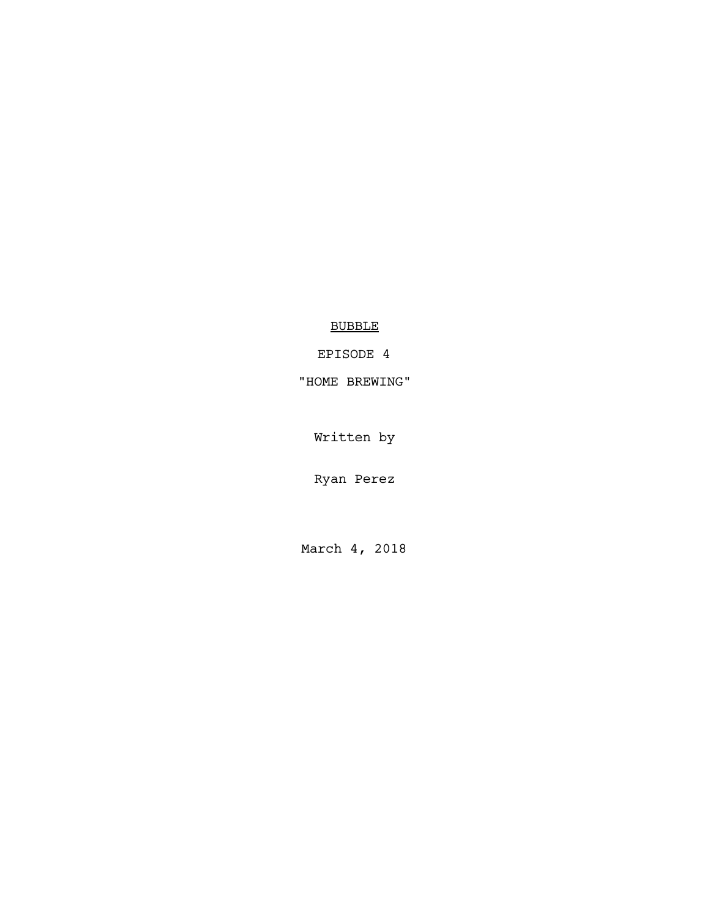BUBBLE

EPISODE 4

"HOME BREWING"

Written by

Ryan Perez

March 4, 2018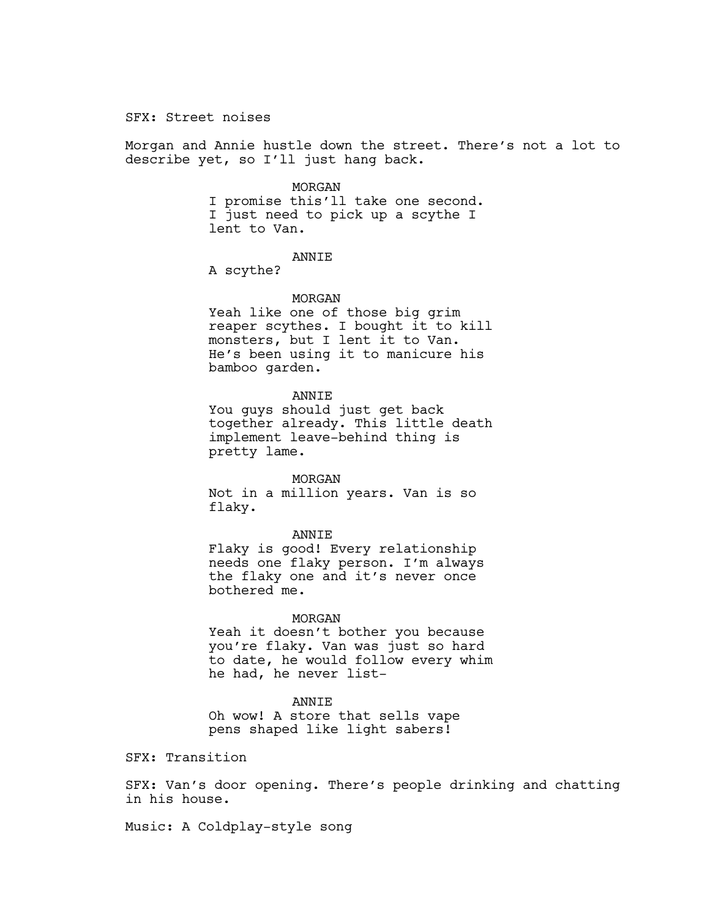SFX: Street noises

Morgan and Annie hustle down the street. There's not a lot to describe yet, so I'll just hang back.

#### MORGAN

I promise this'll take one second. I just need to pick up a scythe I lent to Van.

# ANNIE

A scythe?

### MORGAN

Yeah like one of those big grim reaper scythes. I bought it to kill monsters, but I lent it to Van. He's been using it to manicure his bamboo garden.

# ANNIE

You guys should just get back together already. This little death implement leave-behind thing is pretty lame.

### MORGAN

Not in a million years. Van is so flaky.

### ANNIE

Flaky is good! Every relationship needs one flaky person. I'm always the flaky one and it's never once bothered me.

## MORGAN

Yeah it doesn't bother you because you're flaky. Van was just so hard to date, he would follow every whim he had, he never list-

# ANNIE

Oh wow! A store that sells vape pens shaped like light sabers!

SFX: Transition

SFX: Van's door opening. There's people drinking and chatting in his house.

Music: A Coldplay-style song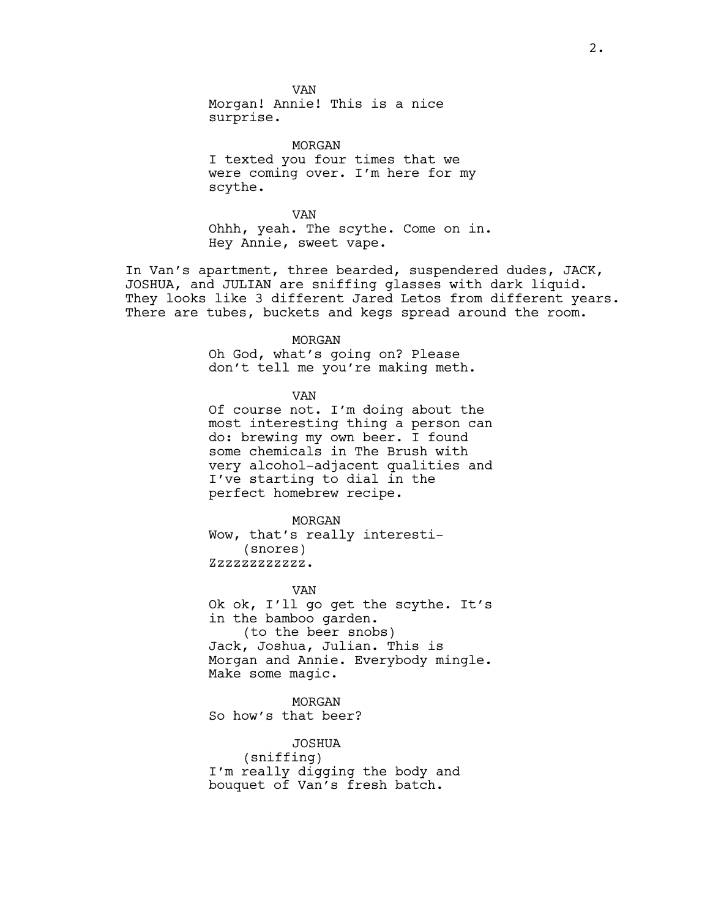VAN Morgan! Annie! This is a nice surprise.

MORGAN I texted you four times that we were coming over. I'm here for my scythe.

VAN Ohhh, yeah. The scythe. Come on in. Hey Annie, sweet vape.

In Van's apartment, three bearded, suspendered dudes, JACK, JOSHUA, and JULIAN are sniffing glasses with dark liquid. They looks like 3 different Jared Letos from different years. There are tubes, buckets and kegs spread around the room.

#### MORGAN

Oh God, what's going on? Please don't tell me you're making meth.

VAN

Of course not. I'm doing about the most interesting thing a person can do: brewing my own beer. I found some chemicals in The Brush with very alcohol-adjacent qualities and I've starting to dial in the perfect homebrew recipe.

MORGAN Wow, that's really interesti- (snores) Zzzzzzzzzzzz.

VAN

Ok ok, I'll go get the scythe. It's in the bamboo garden. (to the beer snobs) Jack, Joshua, Julian. This is Morgan and Annie. Everybody mingle. Make some magic.

MORGAN

So how's that beer?

JOSHUA (sniffing) I'm really digging the body and bouquet of Van's fresh batch.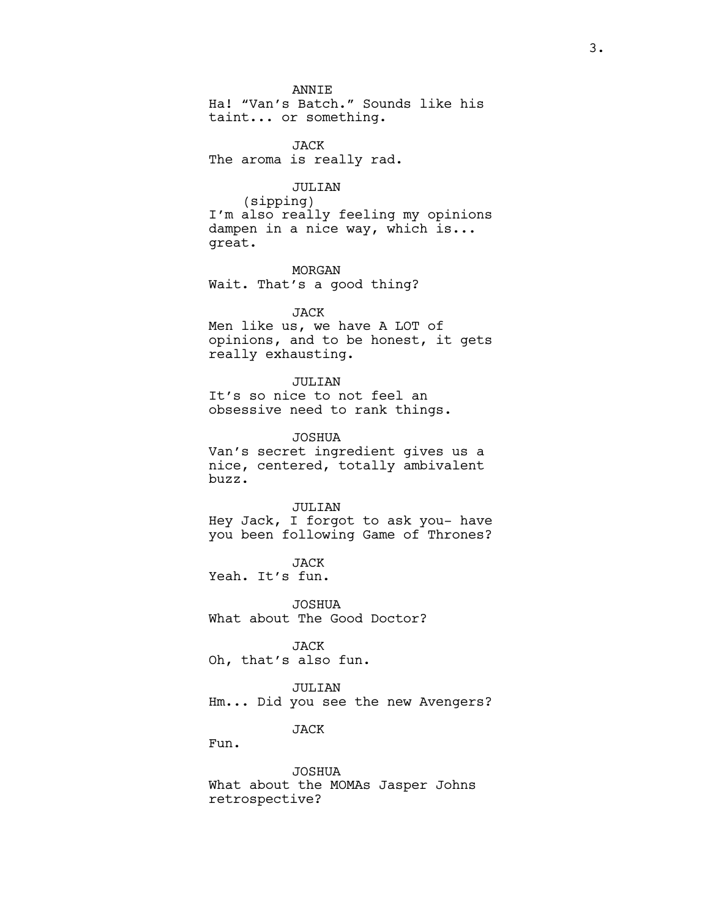**ANNTE** 

Ha! "Van's Batch." Sounds like his taint... or something.

JACK The aroma is really rad.

# JULIAN

(sipping) I'm also really feeling my opinions dampen in a nice way, which is... great.

MORGAN Wait. That's a good thing?

## JACK

Men like us, we have A LOT of opinions, and to be honest, it gets really exhausting.

### JULIAN

It's so nice to not feel an obsessive need to rank things.

JOSHUA

Van's secret ingredient gives us a nice, centered, totally ambivalent buzz.

### JULIAN

Hey Jack, I forgot to ask you- have you been following Game of Thrones?

JACK Yeah. It's fun.

JOSHUA What about The Good Doctor?

JACK Oh, that's also fun.

JULIAN Hm... Did you see the new Avengers?

JACK

Fun.

JOSHUA What about the MOMAs Jasper Johns retrospective?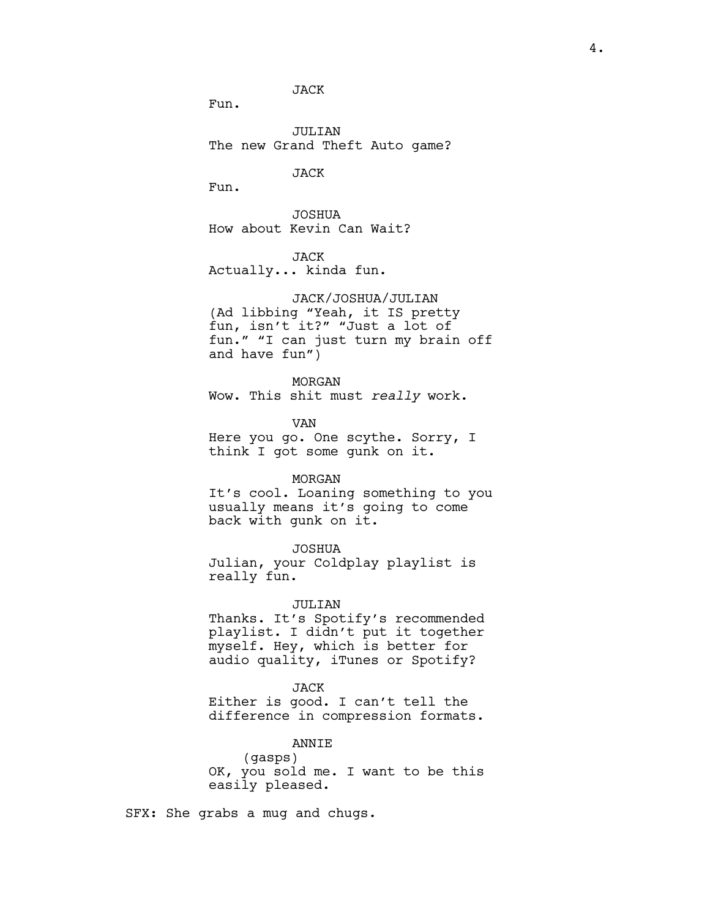JACK

Fun.

JULIAN The new Grand Theft Auto game?

JACK

Fun.

JOSHUA How about Kevin Can Wait?

JACK Actually... kinda fun.

JACK/JOSHUA/JULIAN (Ad libbing "Yeah, it IS pretty fun, isn't it?" "Just a lot of fun." "I can just turn my brain off and have fun")

MORGAN Wow. This shit must *really* work.

VAN Here you go. One scythe. Sorry, I think I got some gunk on it.

### MORGAN

It's cool. Loaning something to you usually means it's going to come back with gunk on it.

# JOSHUA

Julian, your Coldplay playlist is really fun.

# JULIAN

Thanks. It's Spotify's recommended playlist. I didn't put it together myself. Hey, which is better for audio quality, iTunes or Spotify?

### JACK

Either is good. I can't tell the difference in compression formats.

## ANNIE

(gasps) OK, you sold me. I want to be this easily pleased.

SFX: She grabs a mug and chugs.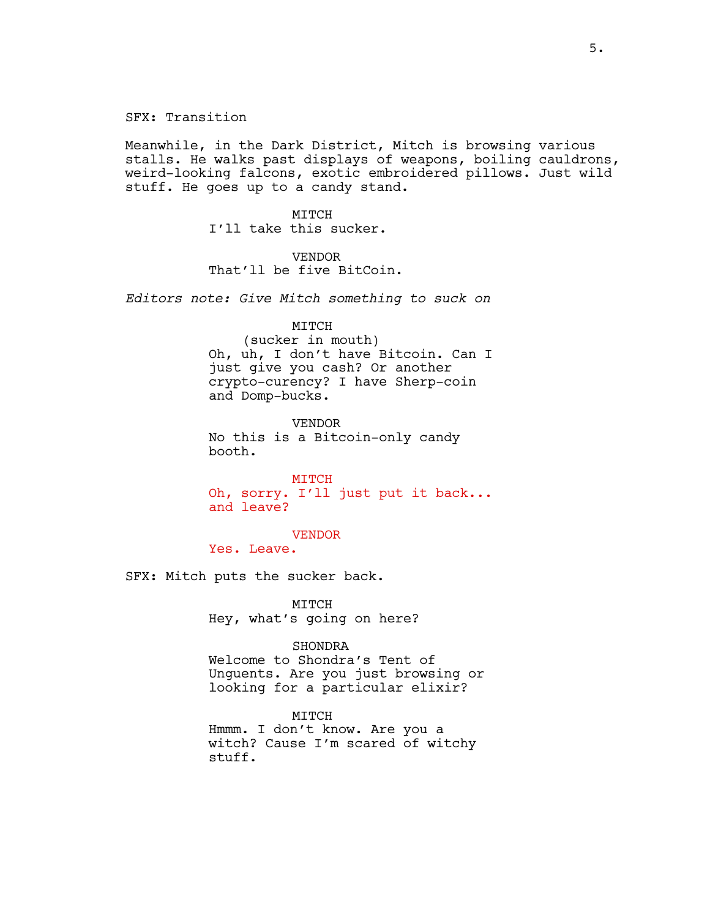SFX: Transition

Meanwhile, in the Dark District, Mitch is browsing various stalls. He walks past displays of weapons, boiling cauldrons, weird-looking falcons, exotic embroidered pillows. Just wild stuff. He goes up to a candy stand.

> MTTCH I'll take this sucker.

VENDOR That'll be five BitCoin.

*Editors note: Give Mitch something to suck on*

MITCH

(sucker in mouth) Oh, uh, I don't have Bitcoin. Can I just give you cash? Or another crypto-curency? I have Sherp-coin and Domp-bucks.

VENDOR No this is a Bitcoin-only candy booth.

MITCH Oh, sorry. I'll just put it back... and leave?

VENDOR

Yes. Leave.

SFX: Mitch puts the sucker back.

MITCH Hey, what's going on here?

## SHONDRA

Welcome to Shondra's Tent of Unguents. Are you just browsing or looking for a particular elixir?

MITCH Hmmm. I don't know. Are you a witch? Cause I'm scared of witchy stuff.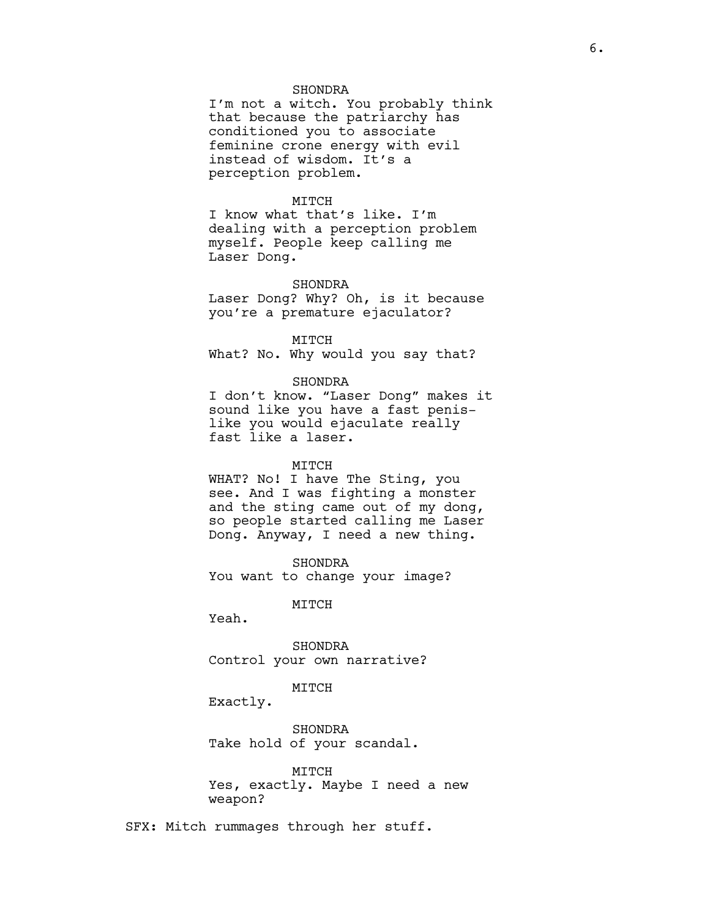# SHONDRA

I'm not a witch. You probably think that because the patriarchy has conditioned you to associate feminine crone energy with evil instead of wisdom. It's a perception problem.

# MITCH

I know what that's like. I'm dealing with a perception problem myself. People keep calling me Laser Dong.

### SHONDRA

Laser Dong? Why? Oh, is it because you're a premature ejaculator?

# MITCH

What? No. Why would you say that?

## SHONDRA

I don't know. "Laser Dong" makes it sound like you have a fast penislike you would ejaculate really fast like a laser.

# MITCH

WHAT? No! I have The Sting, you see. And I was fighting a monster and the sting came out of my dong, so people started calling me Laser Dong. Anyway, I need a new thing.

SHONDRA You want to change your image?

# MITCH

Yeah.

SHONDRA Control your own narrative?

### MITCH

Exactly.

SHONDRA Take hold of your scandal.

MITCH Yes, exactly. Maybe I need a new weapon?

SFX: Mitch rummages through her stuff.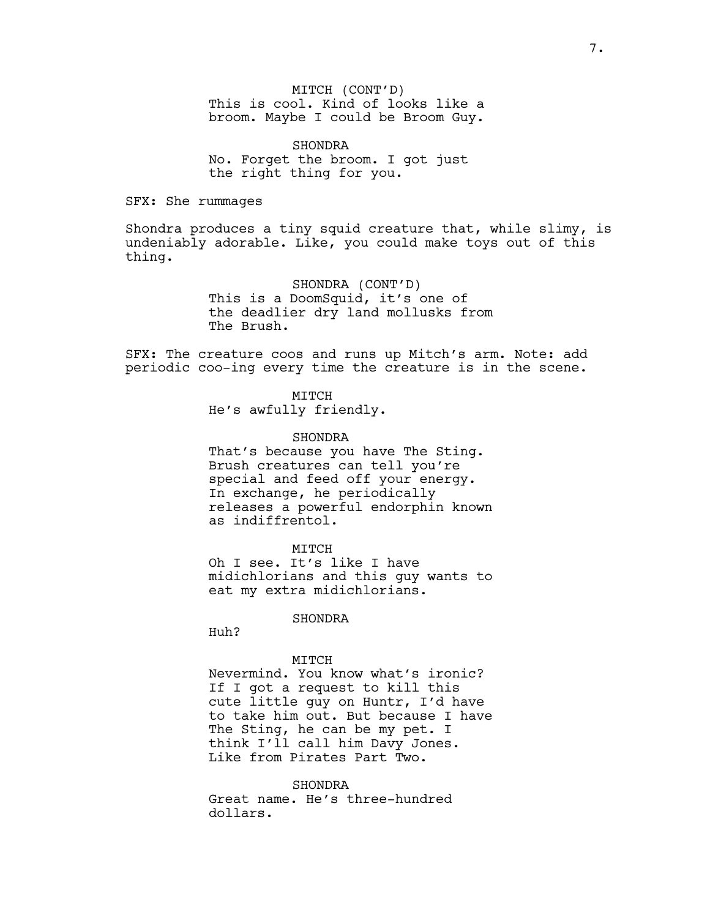MITCH (CONT'D) This is cool. Kind of looks like a broom. Maybe I could be Broom Guy.

SHONDRA No. Forget the broom. I got just the right thing for you.

SFX: She rummages

Shondra produces a tiny squid creature that, while slimy, is undeniably adorable. Like, you could make toys out of this thing.

> SHONDRA (CONT'D) This is a DoomSquid, it's one of the deadlier dry land mollusks from The Brush.

SFX: The creature coos and runs up Mitch's arm. Note: add periodic coo-ing every time the creature is in the scene.

MITCH

He's awfully friendly.

### SHONDRA

That's because you have The Sting. Brush creatures can tell you're special and feed off your energy. In exchange, he periodically releases a powerful endorphin known as indiffrentol.

# MTTCH

Oh I see. It's like I have midichlorians and this guy wants to eat my extra midichlorians.

# SHONDRA

Huh?

# MTTCH

Nevermind. You know what's ironic? If I got a request to kill this cute little guy on Huntr, I'd have to take him out. But because I have The Sting, he can be my pet. I think I'll call him Davy Jones. Like from Pirates Part Two.

#### SHONDRA

Great name. He's three-hundred dollars.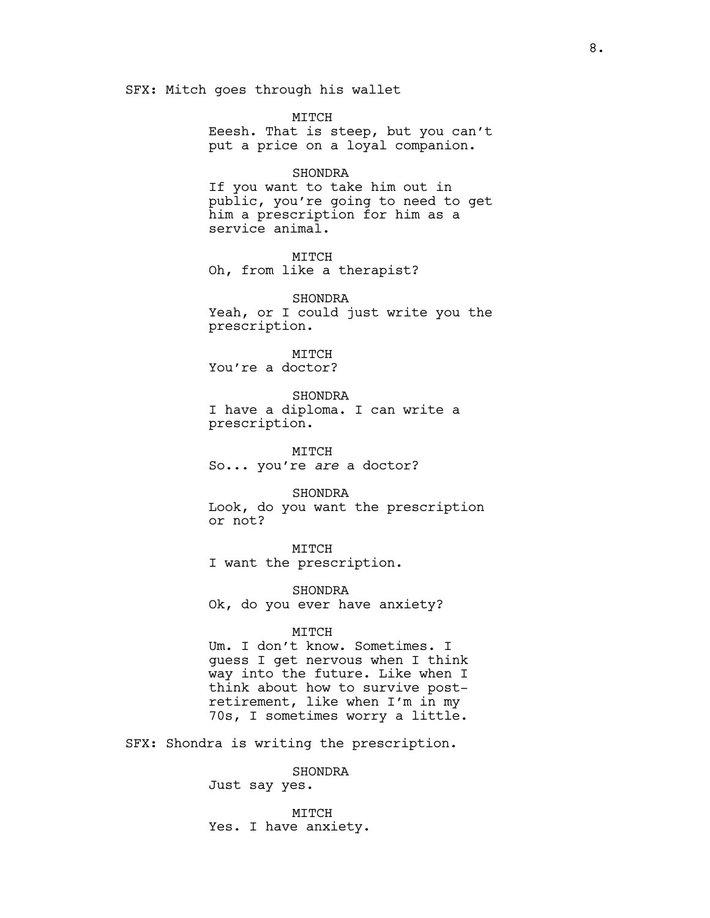SFX: Mitch goes through his wallet

MITCH Eeesh. That is steep, but you can't put a price on a loyal companion.

# SHONDRA

If you want to take him out in public, you're going to need to get him a prescription for him as a service animal.

MITCH Oh, from like a therapist?

SHONDRA Yeah, or I could just write you the prescription.

MITCH You're a doctor?

SHONDRA I have a diploma. I can write a prescription.

MITCH So... you're *are* a doctor?

SHONDRA Look, do you want the prescription or not?

MITCH

I want the prescription.

SHONDRA Ok, do you ever have anxiety?

### MITCH

Um. I don't know. Sometimes. I guess I get nervous when I think way into the future. Like when I think about how to survive postretirement, like when I'm in my 70s, I sometimes worry a little.

SFX: Shondra is writing the prescription.

SHONDRA

Just say yes.

MITCH Yes. I have anxiety.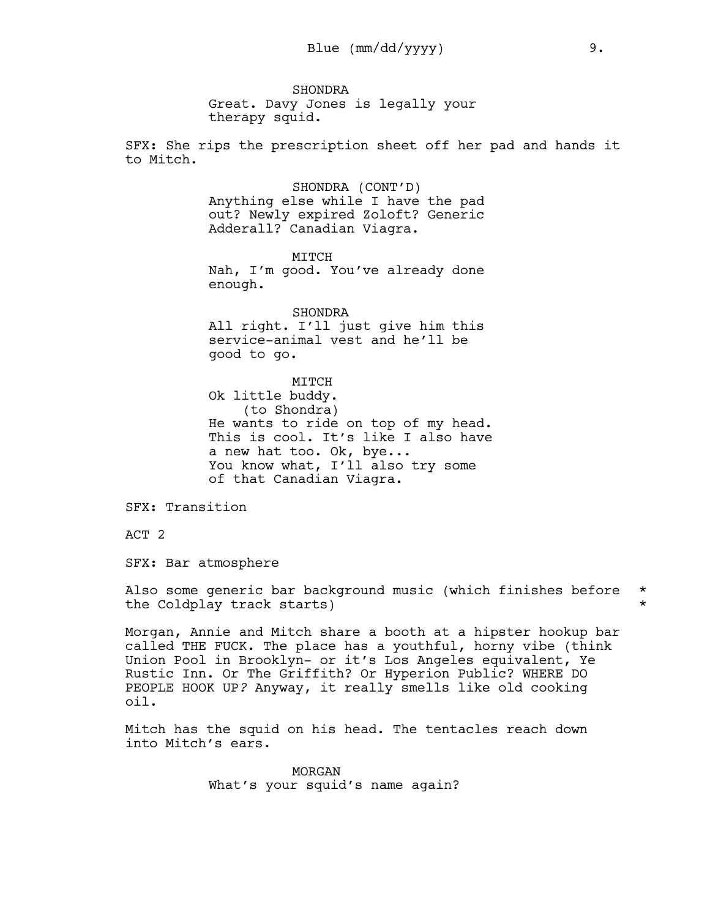SHONDRA Great. Davy Jones is legally your therapy squid.

SFX: She rips the prescription sheet off her pad and hands it to Mitch.

> SHONDRA (CONT'D) Anything else while I have the pad out? Newly expired Zoloft? Generic Adderall? Canadian Viagra.

> MITCH Nah, I'm good. You've already done enough.

> SHONDRA All right. I'll just give him this service-animal vest and he'll be good to go.

MITCH Ok little buddy. (to Shondra) He wants to ride on top of my head. This is cool. It's like I also have a new hat too. Ok, bye... You know what, I'll also try some of that Canadian Viagra.

SFX: Transition

ACT 2

SFX: Bar atmosphere

Also some generic bar background music (which finishes before \* the Coldplay track starts)  $\star$ 

Morgan, Annie and Mitch share a booth at a hipster hookup bar called THE FUCK. The place has a youthful, horny vibe (think Union Pool in Brooklyn- or it's Los Angeles equivalent, Ye Rustic Inn. Or The Griffith? Or Hyperion Public? WHERE DO PEOPLE HOOK UP*?* Anyway, it really smells like old cooking oil.

Mitch has the squid on his head. The tentacles reach down into Mitch's ears.

> MORGAN What's your squid's name again?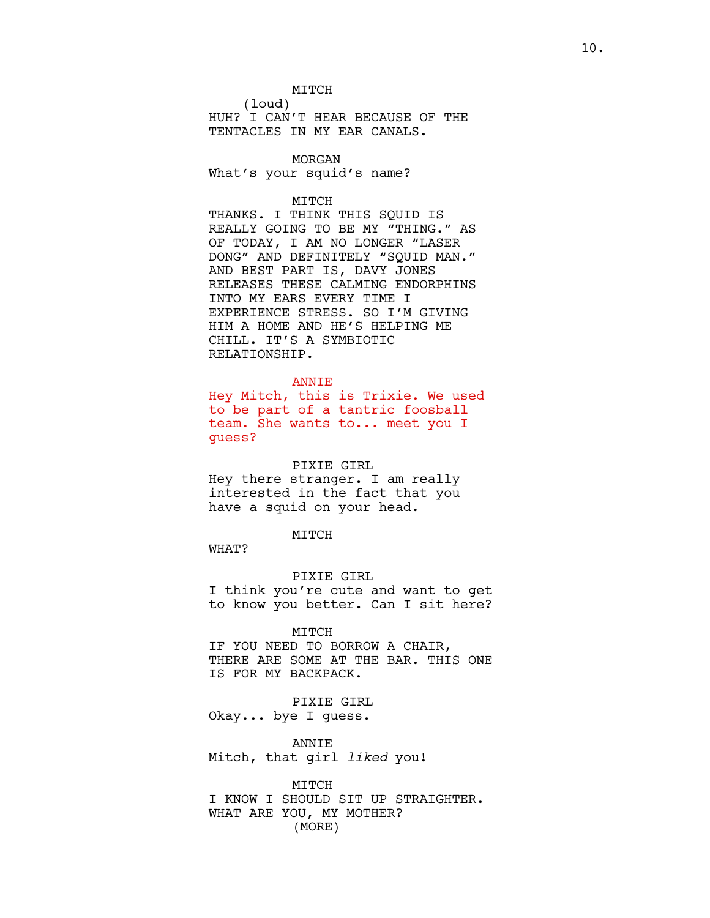MITCH

(loud)

HUH? I CAN'T HEAR BECAUSE OF THE TENTACLES IN MY EAR CANALS.

# MORGAN

What's your squid's name?

# MITCH

THANKS. I THINK THIS SQUID IS REALLY GOING TO BE MY "THING." AS OF TODAY, I AM NO LONGER "LASER DONG" AND DEFINITELY "SQUID MAN." AND BEST PART IS, DAVY JONES RELEASES THESE CALMING ENDORPHINS INTO MY EARS EVERY TIME I EXPERIENCE STRESS. SO I'M GIVING HIM A HOME AND HE'S HELPING ME CHILL. IT'S A SYMBIOTIC RELATIONSHIP.

### ANNIE

Hey Mitch, this is Trixie. We used to be part of a tantric foosball team. She wants to... meet you I guess?

# PIXIE GIRL

Hey there stranger. I am really interested in the fact that you have a squid on your head.

## MITCH

WHAT?

## PIXIE GIRL

I think you're cute and want to get to know you better. Can I sit here?

#### MITCH

IF YOU NEED TO BORROW A CHAIR, THERE ARE SOME AT THE BAR. THIS ONE IS FOR MY BACKPACK.

PIXIE GIRL Okay... bye I guess.

ANNIE Mitch, that girl *liked* you!

MITCH I KNOW I SHOULD SIT UP STRAIGHTER. WHAT ARE YOU, MY MOTHER? (MORE)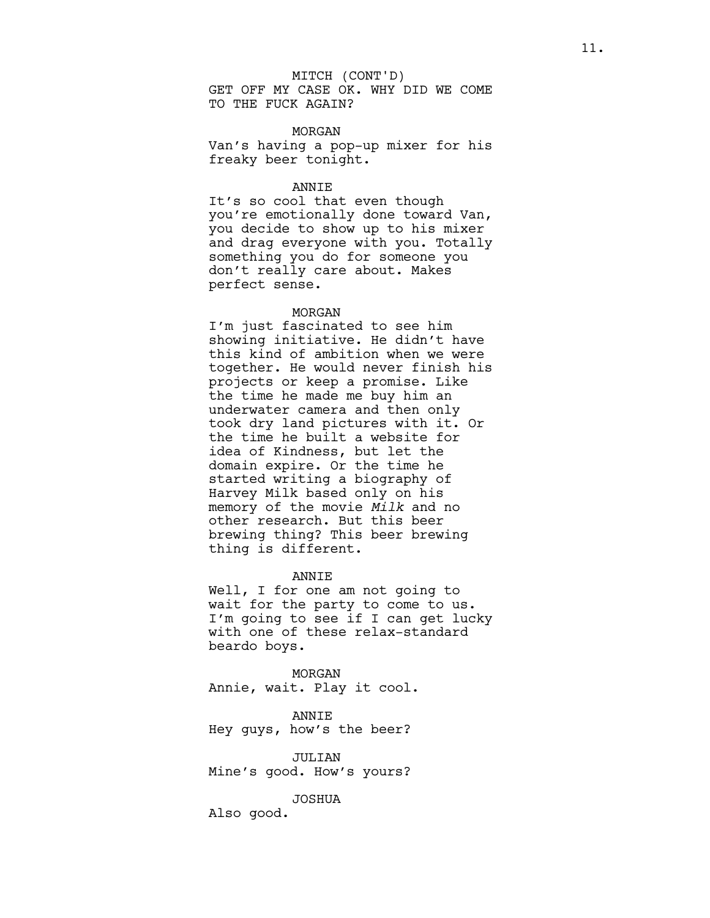# MITCH (CONT'D)

GET OFF MY CASE OK. WHY DID WE COME TO THE FUCK AGAIN?

### MORGAN

Van's having a pop-up mixer for his freaky beer tonight.

### ANNIE

It's so cool that even though you're emotionally done toward Van, you decide to show up to his mixer and drag everyone with you. Totally something you do for someone you don't really care about. Makes perfect sense.

### MORGAN

I'm just fascinated to see him showing initiative. He didn't have this kind of ambition when we were together. He would never finish his projects or keep a promise. Like the time he made me buy him an underwater camera and then only took dry land pictures with it. Or the time he built a website for idea of Kindness, but let the domain expire. Or the time he started writing a biography of Harvey Milk based only on his memory of the movie *Milk* and no other research. But this beer brewing thing? This beer brewing thing is different.

ANNIE

Well, I for one am not going to wait for the party to come to us. I'm going to see if I can get lucky with one of these relax-standard beardo boys.

MORGAN Annie, wait. Play it cool.

ANNIE Hey guys, how's the beer?

JULIAN Mine's good. How's yours?

JOSHUA

Also good.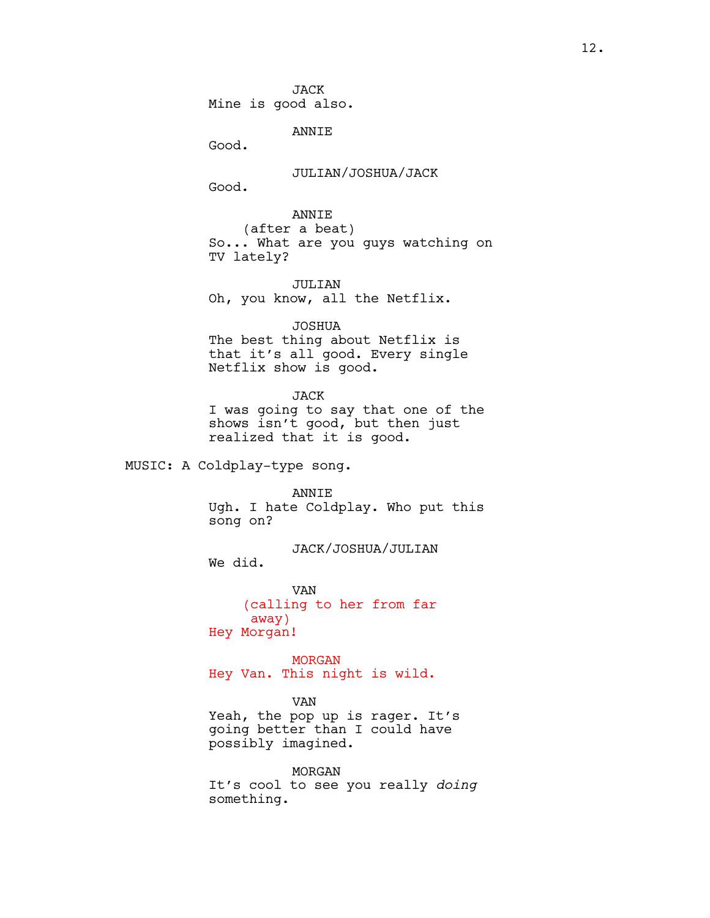JACK Mine is good also.

ANNIE

Good.

JULIAN/JOSHUA/JACK

Good.

ANNIE (after a beat) So... What are you guys watching on TV lately?

JULIAN

Oh, you know, all the Netflix.

JOSHUA

The best thing about Netflix is that it's all good. Every single Netflix show is good.

JACK I was going to say that one of the shows isn't good, but then just

MUSIC: A Coldplay-type song.

ANNIE

realized that it is good.

Ugh. I hate Coldplay. Who put this song on?

JACK/JOSHUA/JULIAN

We did.

VAN (calling to her from far away) Hey Morgan!

MORGAN Hey Van. This night is wild.

VAN

Yeah, the pop up is rager. It's going better than I could have possibly imagined.

MORGAN It's cool to see you really *doing* something.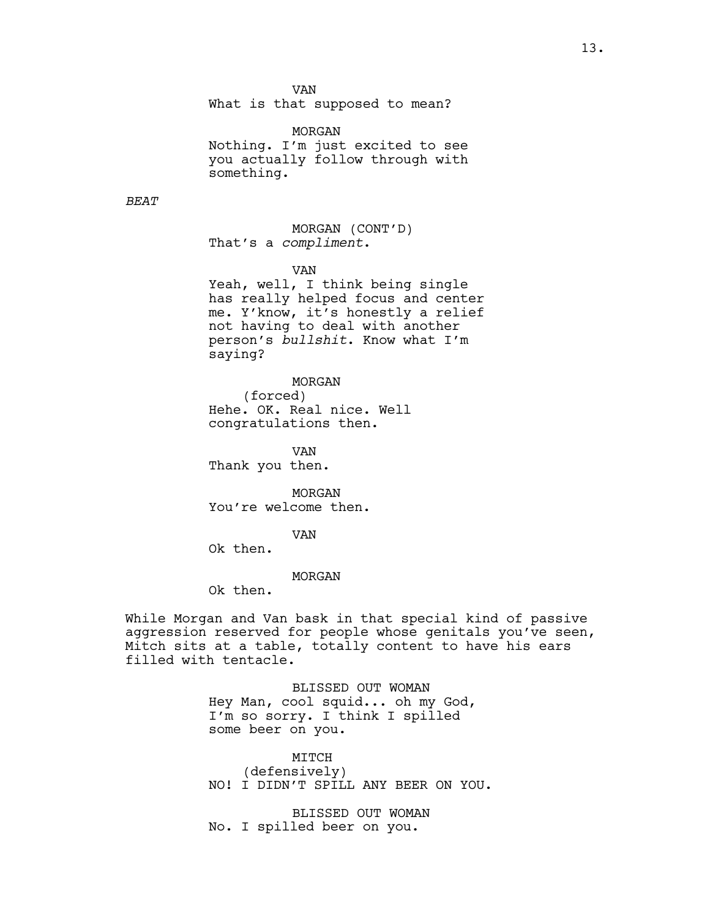VAN

What is that supposed to mean?

MORGAN Nothing. I'm just excited to see you actually follow through with something.

*BEAT*

MORGAN (CONT'D) That's a *compliment*.

VAN

Yeah, well, I think being single has really helped focus and center me. Y'know, it's honestly a relief not having to deal with another person's *bullshit*. Know what I'm saying?

MORGAN (forced) Hehe. OK. Real nice. Well

congratulations then.

VAN Thank you then.

MORGAN You're welcome then.

VAN

Ok then.

# MORGAN

Ok then.

While Morgan and Van bask in that special kind of passive aggression reserved for people whose genitals you've seen, Mitch sits at a table, totally content to have his ears filled with tentacle.

> BLISSED OUT WOMAN Hey Man, cool squid... oh my God, I'm so sorry. I think I spilled some beer on you.

MITCH (defensively) NO! I DIDN'T SPILL ANY BEER ON YOU.

BLISSED OUT WOMAN No. I spilled beer on you.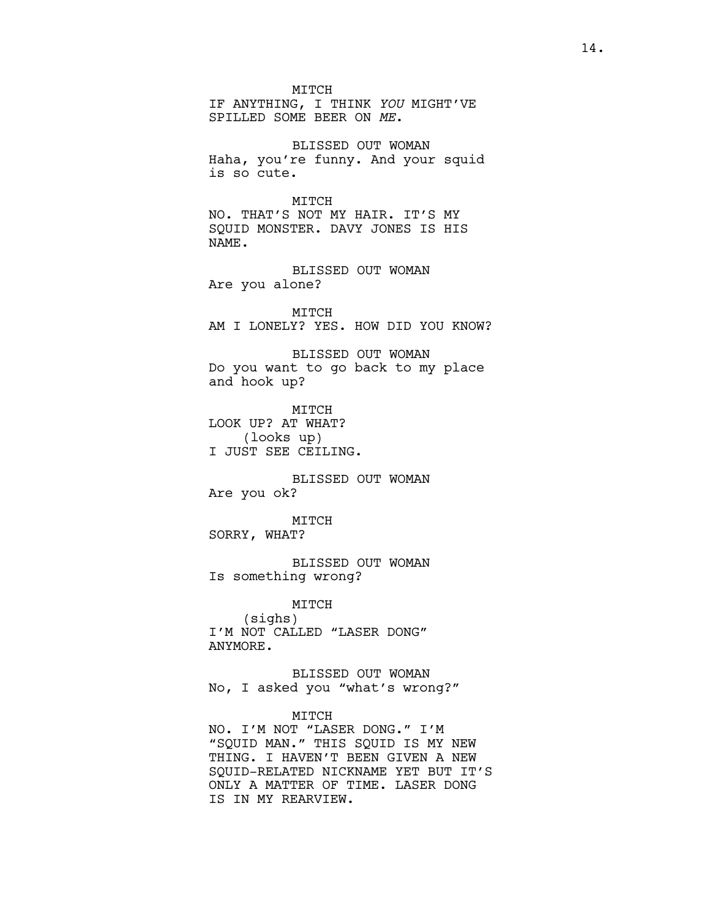MTTCH

IF ANYTHING, I THINK *YOU* MIGHT'VE SPILLED SOME BEER ON *ME*.

BLISSED OUT WOMAN Haha, you're funny. And your squid is so cute.

MITCH NO. THAT'S NOT MY HAIR. IT'S MY SQUID MONSTER. DAVY JONES IS HIS NAME.

BLISSED OUT WOMAN Are you alone?

MITCH AM I LONELY? YES. HOW DID YOU KNOW?

BLISSED OUT WOMAN Do you want to go back to my place and hook up?

MITCH LOOK UP? AT WHAT? (looks up) I JUST SEE CEILING.

BLISSED OUT WOMAN Are you ok?

MITCH SORRY, WHAT?

IS IN MY REARVIEW.

BLISSED OUT WOMAN Is something wrong?

MITCH (sighs) I'M NOT CALLED "LASER DONG" ANYMORE.

BLISSED OUT WOMAN No, I asked you "what's wrong?"

MITCH NO. I'M NOT "LASER DONG." I'M "SQUID MAN." THIS SQUID IS MY NEW THING. I HAVEN'T BEEN GIVEN A NEW SQUID-RELATED NICKNAME YET BUT IT'S ONLY A MATTER OF TIME. LASER DONG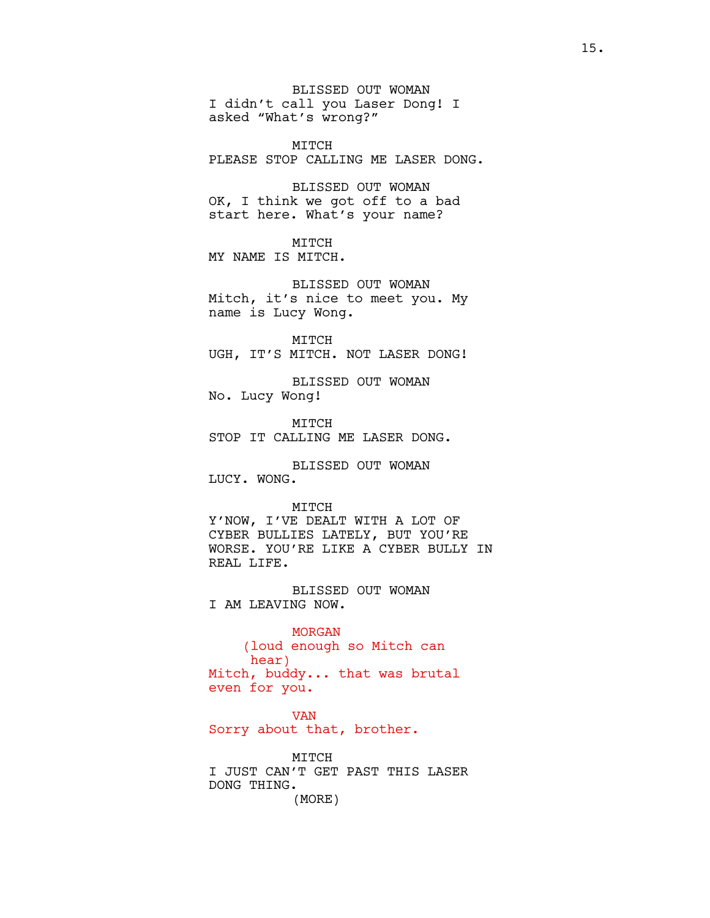BLISSED OUT WOMAN I didn't call you Laser Dong! I asked "What's wrong?"

MITCH PLEASE STOP CALLING ME LASER DONG.

BLISSED OUT WOMAN OK, I think we got off to a bad start here. What's your name?

MITCH MY NAME IS MITCH.

BLISSED OUT WOMAN Mitch, it's nice to meet you. My name is Lucy Wong.

MITCH UGH, IT'S MITCH. NOT LASER DONG!

BLISSED OUT WOMAN No. Lucy Wong!

MITCH STOP IT CALLING ME LASER DONG.

BLISSED OUT WOMAN LUCY. WONG.

MITCH

Y'NOW, I'VE DEALT WITH A LOT OF CYBER BULLIES LATELY, BUT YOU'RE WORSE. YOU'RE LIKE A CYBER BULLY IN REAL LIFE.

BLISSED OUT WOMAN I AM LEAVING NOW.

MORGAN (loud enough so Mitch can hear) Mitch, buddy... that was brutal even for you.

VAN Sorry about that, brother.

MITCH I JUST CAN'T GET PAST THIS LASER DONG THING. (MORE)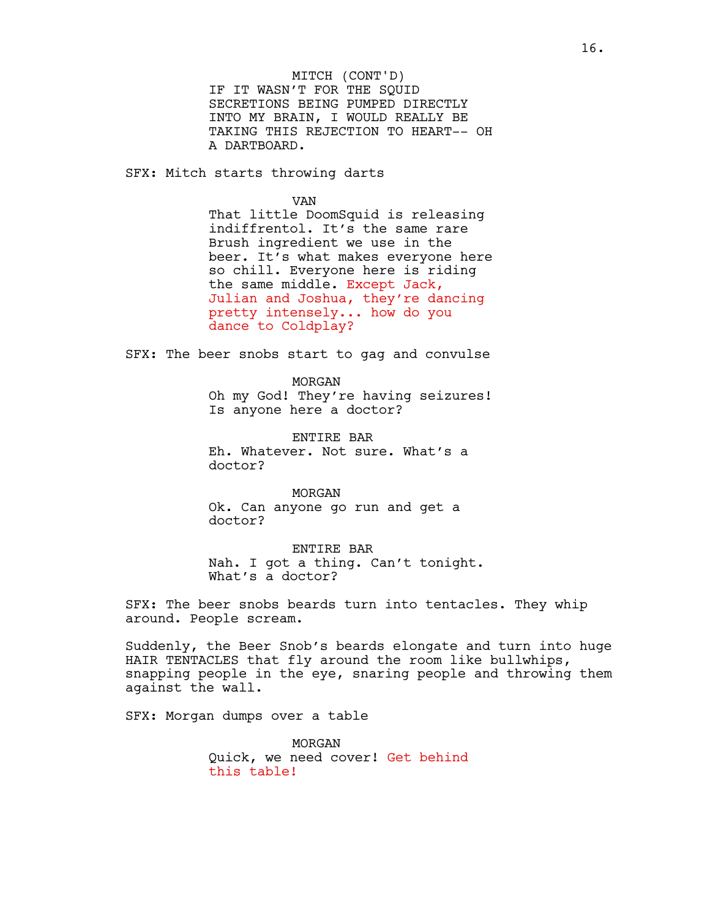IF IT WASN'T FOR THE SQUID SECRETIONS BEING PUMPED DIRECTLY INTO MY BRAIN, I WOULD REALLY BE TAKING THIS REJECTION TO HEART-- OH A DARTBOARD. MITCH (CONT'D)

SFX: Mitch starts throwing darts

VAN

That little DoomSquid is releasing indiffrentol. It's the same rare Brush ingredient we use in the beer. It's what makes everyone here so chill. Everyone here is riding the same middle. Except Jack, Julian and Joshua, they're dancing pretty intensely... how do you dance to Coldplay?

SFX: The beer snobs start to gag and convulse

MORGAN

Oh my God! They're having seizures! Is anyone here a doctor?

ENTIRE BAR Eh. Whatever. Not sure. What's a doctor?

MORGAN Ok. Can anyone go run and get a doctor?

ENTIRE BAR Nah. I got a thing. Can't tonight. What's a doctor?

SFX: The beer snobs beards turn into tentacles. They whip around. People scream.

Suddenly, the Beer Snob's beards elongate and turn into huge HAIR TENTACLES that fly around the room like bullwhips, snapping people in the eye, snaring people and throwing them against the wall.

SFX: Morgan dumps over a table

MORGAN Quick, we need cover! Get behind this table!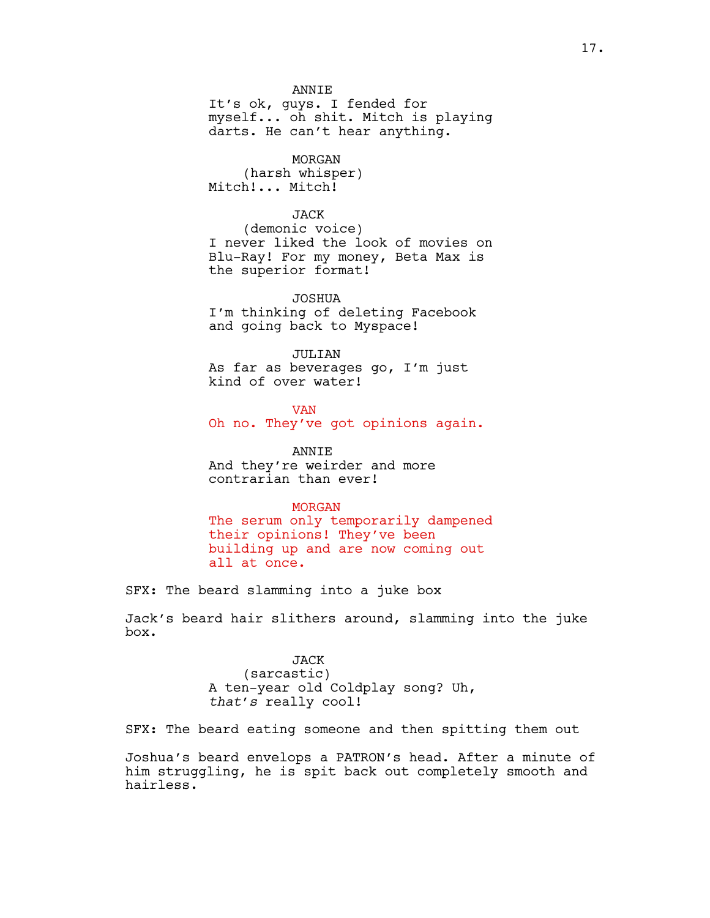### ANNIE

It's ok, guys. I fended for myself... oh shit. Mitch is playing darts. He can't hear anything.

MORGAN (harsh whisper) Mitch!... Mitch!

# JACK

(demonic voice) I never liked the look of movies on Blu-Ray! For my money, Beta Max is the superior format!

JOSHUA I'm thinking of deleting Facebook and going back to Myspace!

# JULIAN

As far as beverages go, I'm just kind of over water!

## **VAN**

Oh no. They've got opinions again.

ANNIE And they're weirder and more contrarian than ever!

# MORGAN

The serum only temporarily dampened their opinions! They've been building up and are now coming out all at once.

SFX: The beard slamming into a juke box

Jack's beard hair slithers around, slamming into the juke box.

> JACK (sarcastic) A ten-year old Coldplay song? Uh, *that's* really cool!

SFX: The beard eating someone and then spitting them out

Joshua's beard envelops a PATRON's head. After a minute of him struggling, he is spit back out completely smooth and hairless.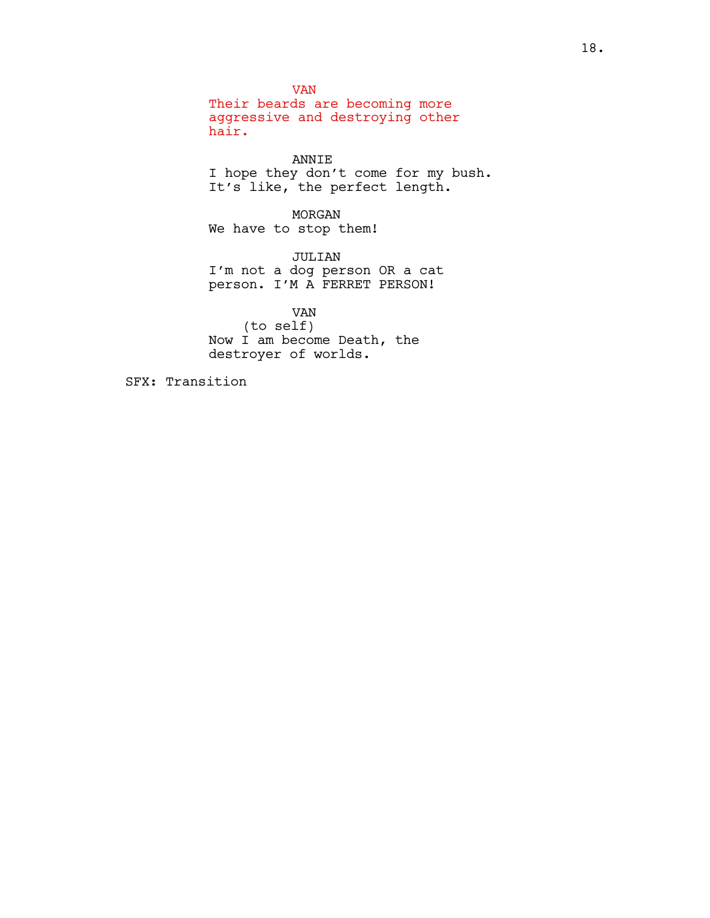VAN Their beards are becoming more aggressive and destroying other hair.

ANNIE I hope they don't come for my bush. It's like, the perfect length.

MORGAN We have to stop them!

JULIAN I'm not a dog person OR a cat person. I'M A FERRET PERSON!

VAN (to self) Now I am become Death, the destroyer of worlds.

SFX: Transition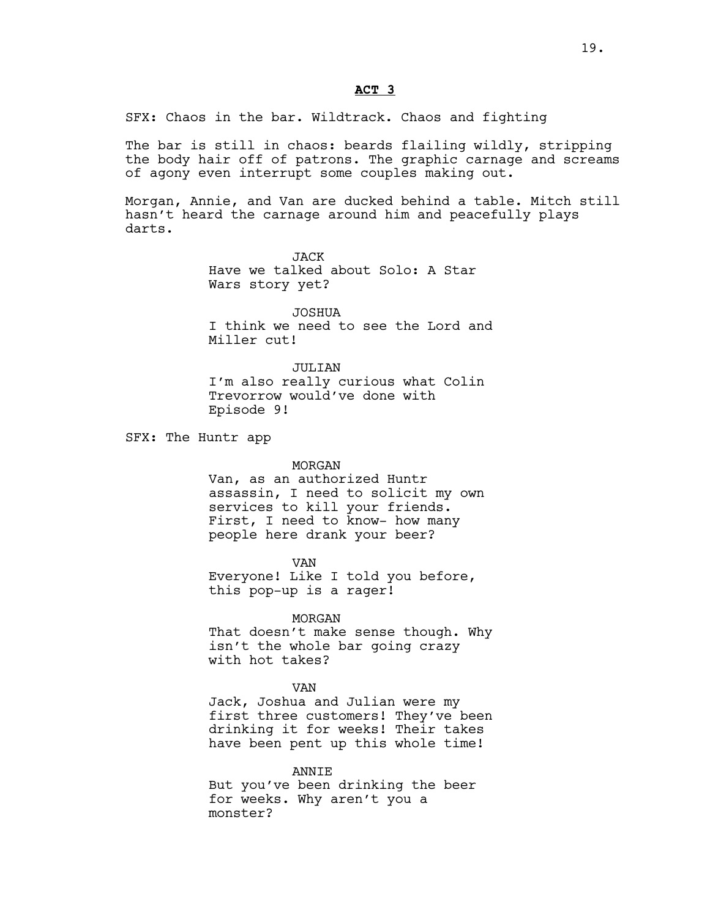# **ACT 3**

SFX: Chaos in the bar. Wildtrack. Chaos and fighting

The bar is still in chaos: beards flailing wildly, stripping the body hair off of patrons. The graphic carnage and screams of agony even interrupt some couples making out.

Morgan, Annie, and Van are ducked behind a table. Mitch still hasn't heard the carnage around him and peacefully plays darts.

> JACK Have we talked about Solo: A Star Wars story yet?

JOSHUA I think we need to see the Lord and Miller cut!

JULTAN I'm also really curious what Colin Trevorrow would've done with Episode 9!

SFX: The Huntr app

### MORGAN

Van, as an authorized Huntr assassin, I need to solicit my own services to kill your friends. First, I need to know- how many people here drank your beer?

VAN Everyone! Like I told you before, this pop-up is a rager!

### MORGAN

That doesn't make sense though. Why isn't the whole bar going crazy with hot takes?

#### VAN

Jack, Joshua and Julian were my first three customers! They've been drinking it for weeks! Their takes have been pent up this whole time!

ANNIE But you've been drinking the beer for weeks. Why aren't you a monster?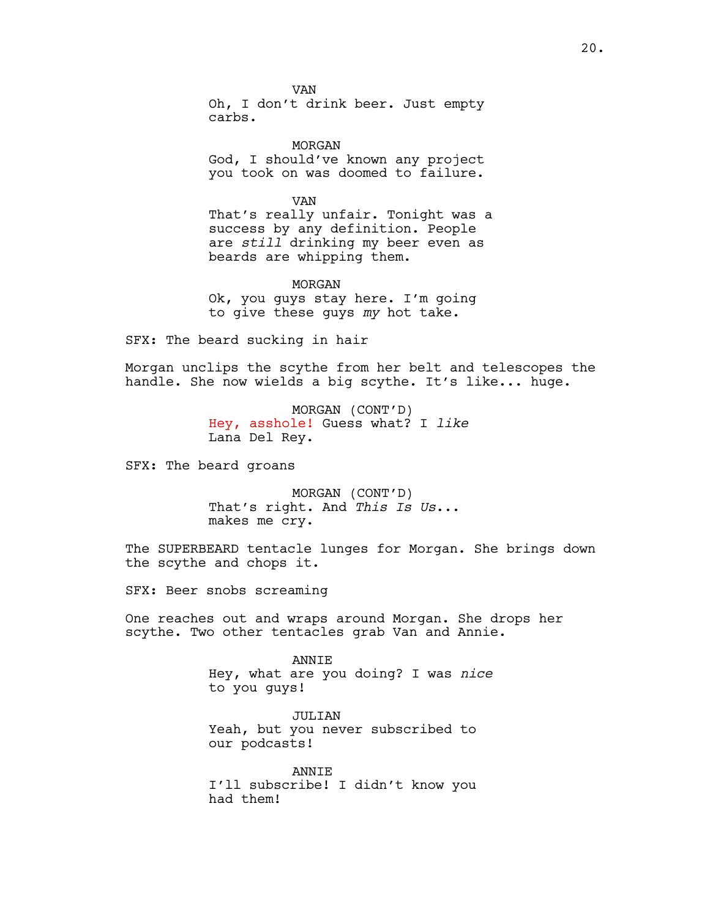VAN Oh, I don't drink beer. Just empty carbs.

MORGAN God, I should've known any project you took on was doomed to failure.

VAN That's really unfair. Tonight was a success by any definition. People are *still* drinking my beer even as beards are whipping them.

MORGAN Ok, you guys stay here. I'm going to give these guys *my* hot take.

SFX: The beard sucking in hair

Morgan unclips the scythe from her belt and telescopes the handle. She now wields a big scythe. It's like... huge.

> MORGAN (CONT'D) Hey, asshole! Guess what? I *like* Lana Del Rey.

SFX: The beard groans

MORGAN (CONT'D) That's right. And *This Is Us*... makes me cry.

The SUPERBEARD tentacle lunges for Morgan. She brings down the scythe and chops it.

SFX: Beer snobs screaming

One reaches out and wraps around Morgan. She drops her scythe. Two other tentacles grab Van and Annie.

> ANNIE Hey, what are you doing? I was *nice*  to you guys!

JULIAN Yeah, but you never subscribed to our podcasts!

ANNIE I'll subscribe! I didn't know you had them!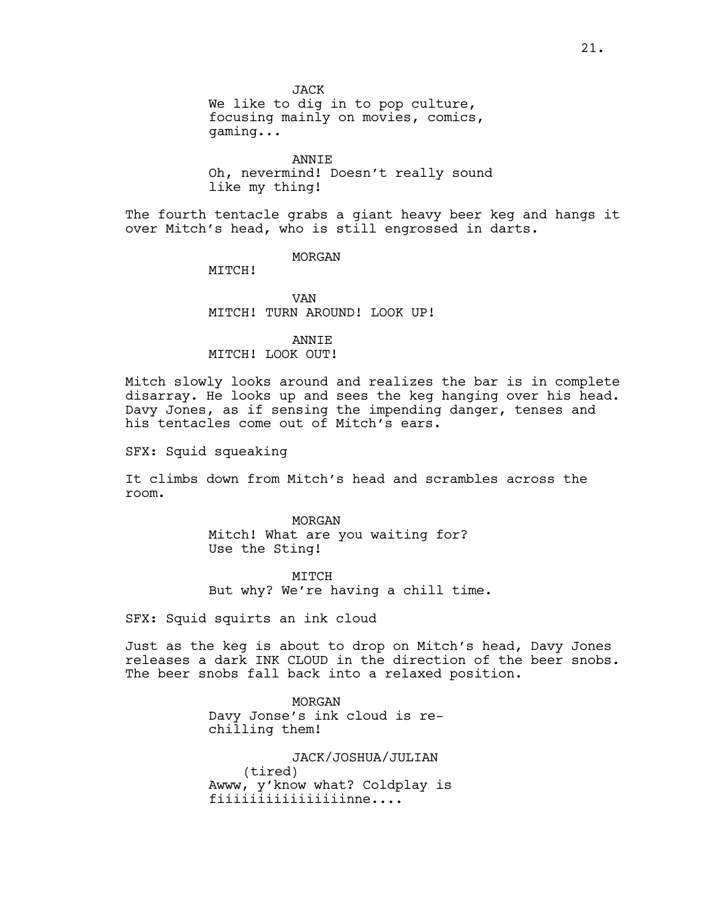JACK We like to dig in to pop culture, focusing mainly on movies, comics, gaming...

ANNIE Oh, nevermind! Doesn't really sound like my thing!

The fourth tentacle grabs a giant heavy beer keg and hangs it over Mitch's head, who is still engrossed in darts.

MORGAN

MTTCH!

VAN MITCH! TURN AROUND! LOOK UP!

ANNIE

# MITCH! LOOK OUT!

Mitch slowly looks around and realizes the bar is in complete disarray. He looks up and sees the keg hanging over his head. Davy Jones, as if sensing the impending danger, tenses and his tentacles come out of Mitch's ears.

SFX: Squid squeaking

It climbs down from Mitch's head and scrambles across the room.

> MORGAN Mitch! What are you waiting for? Use the Sting!

**MTTCH** But why? We're having a chill time.

SFX: Squid squirts an ink cloud

Just as the keg is about to drop on Mitch's head, Davy Jones releases a dark INK CLOUD in the direction of the beer snobs. The beer snobs fall back into a relaxed position.

> MORGAN Davy Jonse's ink cloud is rechilling them!

JACK/JOSHUA/JULIAN (tired) Awww, y'know what? Coldplay is fiiiiiiiiiiiiiiiinne....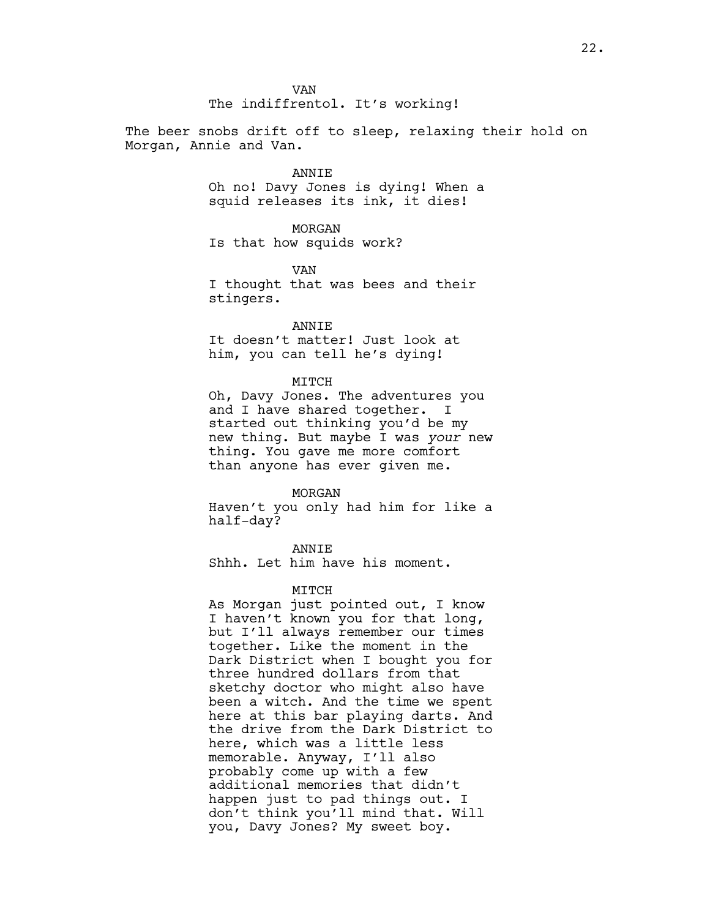The beer snobs drift off to sleep, relaxing their hold on Morgan, Annie and Van.

### ANNIE

Oh no! Davy Jones is dying! When a squid releases its ink, it dies!

### MORGAN

Is that how squids work?

VAN I thought that was bees and their stingers.

### ANNIE

It doesn't matter! Just look at him, you can tell he's dying!

### MITCH

Oh, Davy Jones. The adventures you and I have shared together. I started out thinking you'd be my new thing. But maybe I was *your* new thing. You gave me more comfort than anyone has ever given me.

### MORGAN

Haven't you only had him for like a half-day?

# **ANNTE**

Shhh. Let him have his moment.

### MITCH

As Morgan just pointed out, I know I haven't known you for that long, but I'll always remember our times together. Like the moment in the Dark District when I bought you for three hundred dollars from that sketchy doctor who might also have been a witch. And the time we spent here at this bar playing darts. And the drive from the Dark District to here, which was a little less memorable. Anyway, I'll also probably come up with a few additional memories that didn't happen just to pad things out. I don't think you'll mind that. Will you, Davy Jones? My sweet boy.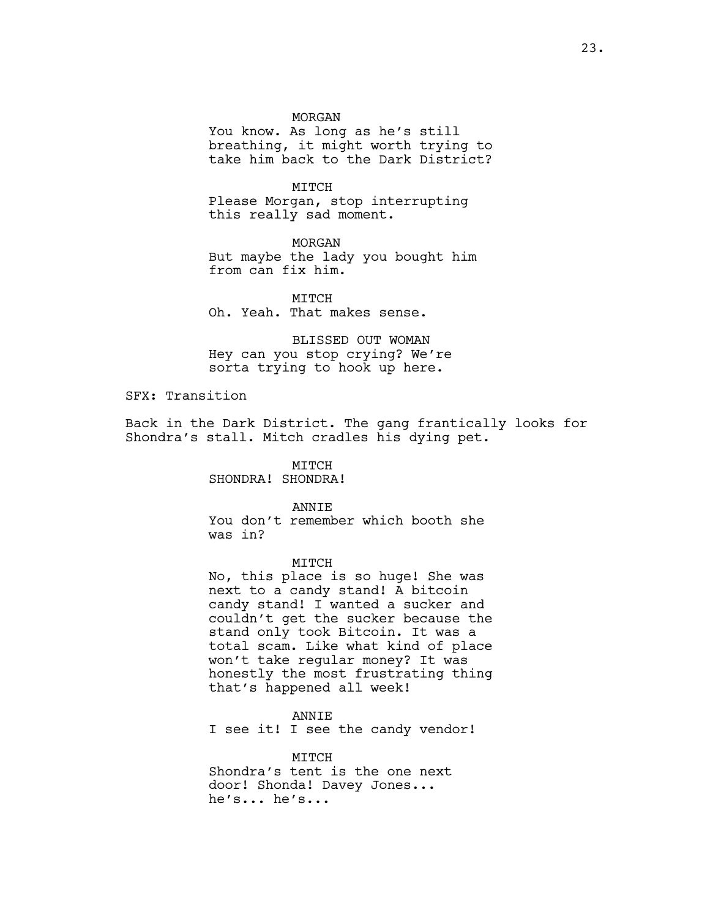### MORGAN

You know. As long as he's still breathing, it might worth trying to take him back to the Dark District?

MITCH Please Morgan, stop interrupting this really sad moment.

MORGAN But maybe the lady you bought him from can fix him.

MTTCH Oh. Yeah. That makes sense.

BLISSED OUT WOMAN Hey can you stop crying? We're sorta trying to hook up here.

SFX: Transition

Back in the Dark District. The gang frantically looks for Shondra's stall. Mitch cradles his dying pet.

MITCH

SHONDRA! SHONDRA!

ANNIE

You don't remember which booth she was in?

MITCH

No, this place is so huge! She was next to a candy stand! A bitcoin candy stand! I wanted a sucker and couldn't get the sucker because the stand only took Bitcoin. It was a total scam. Like what kind of place won't take regular money? It was honestly the most frustrating thing that's happened all week!

ANNIE I see it! I see the candy vendor!

MITCH Shondra's tent is the one next door! Shonda! Davey Jones... he's... he's...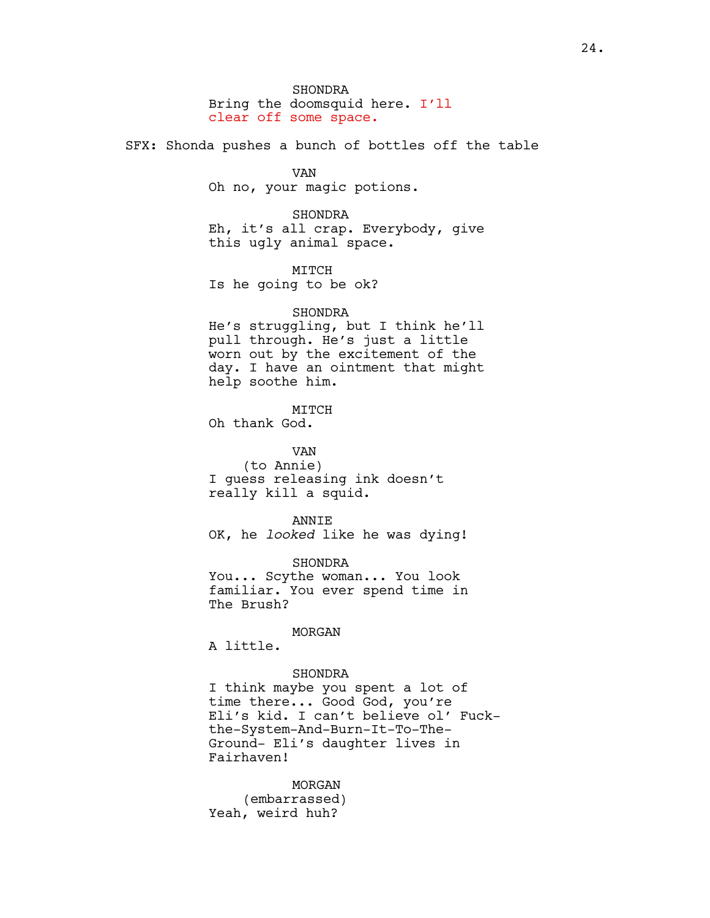SHONDRA Bring the doomsquid here. I'll clear off some space.

SFX: Shonda pushes a bunch of bottles off the table

VAN Oh no, your magic potions.

SHONDRA Eh, it's all crap. Everybody, give this ugly animal space.

MITCH Is he going to be ok?

# SHONDRA

He's struggling, but I think he'll pull through. He's just a little worn out by the excitement of the day. I have an ointment that might help soothe him.

MITCH

Oh thank God.

VAN (to Annie) I guess releasing ink doesn't really kill a squid.

ANNIE OK, he *looked* like he was dying!

SHONDRA You... Scythe woman... You look familiar. You ever spend time in The Brush?

## MORGAN

A little.

# SHONDRA

I think maybe you spent a lot of time there... Good God, you're Eli's kid. I can't believe ol' Fuckthe-System-And-Burn-It-To-The-Ground- Eli's daughter lives in Fairhaven!

MORGAN (embarrassed) Yeah, weird huh?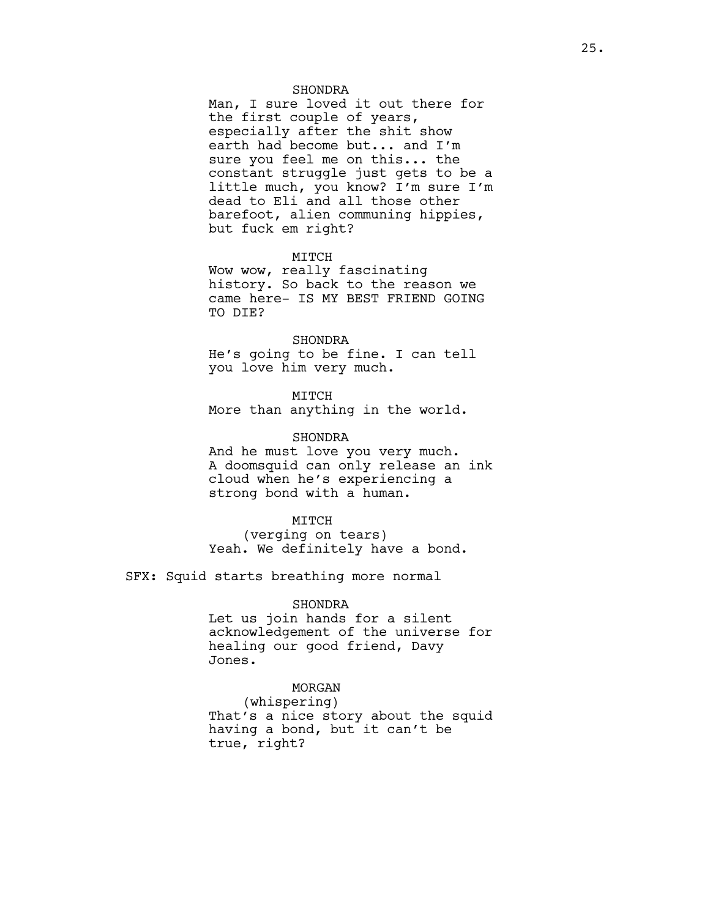# SHONDRA

Man, I sure loved it out there for the first couple of years, especially after the shit show earth had become but... and I'm sure you feel me on this... the constant struggle just gets to be a little much, you know? I'm sure I'm dead to Eli and all those other barefoot, alien communing hippies, but fuck em right?

# MITCH

Wow wow, really fascinating history. So back to the reason we came here- IS MY BEST FRIEND GOING TO DIE?

### SHONDRA

He's going to be fine. I can tell you love him very much.

MITCH

More than anything in the world.

### SHONDRA

And he must love you very much. A doomsquid can only release an ink cloud when he's experiencing a strong bond with a human.

### MITCH

(verging on tears) Yeah. We definitely have a bond.

SFX: Squid starts breathing more normal

### SHONDRA

Let us join hands for a silent acknowledgement of the universe for healing our good friend, Davy Jones.

## MORGAN

(whispering) That's a nice story about the squid having a bond, but it can't be true, right?